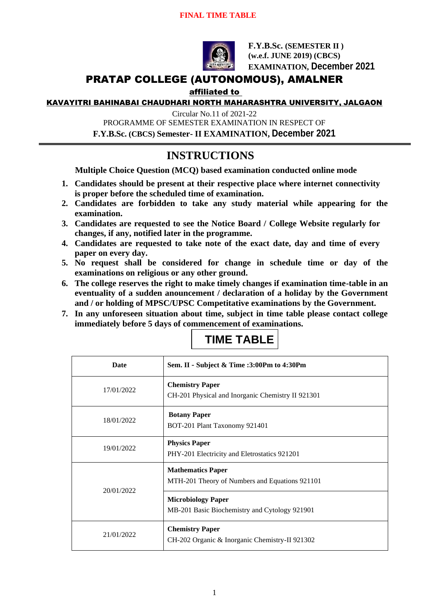### **FINAL TIME TABLE**



**F.Y.B.Sc. (SEMESTER II ) (w.e.f. JUNE 2019) (CBCS) EXAMINATION, December 2021**

## PRATAP COLLEGE (AUTONOMOUS), AMALNER

### affiliated to

KAVAYITRI BAHINABAI CHAUDHARI NORTH MAHARASHTRA UNIVERSITY, JALGAON

Circular No.11 of 2021-22

PROGRAMME OF SEMESTER EXAMINATION IN RESPECT OF

**F.Y.B.Sc. (CBCS) Semester- II EXAMINATION, December 2021**

# **INSTRUCTIONS**

**Multiple Choice Question (MCQ) based examination conducted online mode**

- **1. Candidates should be present at their respective place where internet connectivity is proper before the scheduled time of examination.**
- **2. Candidates are forbidden to take any study material while appearing for the examination.**
- **3. Candidates are requested to see the Notice Board / College Website regularly for changes, if any, notified later in the programme.**
- **4. Candidates are requested to take note of the exact date, day and time of every paper on every day.**
- **5. No request shall be considered for change in schedule time or day of the examinations on religious or any other ground.**
- **6. The college reserves the right to make timely changes if examination time-table in an eventuality of a sudden anouncement / declaration of a holiday by the Government and / or holding of MPSC/UPSC Competitative examinations by the Government.**
- **7. In any unforeseen situation about time, subject in time table please contact college immediately before 5 days of commencement of examinations.**

| <b>TIME TABLE</b> |
|-------------------|
|                   |

| Date       | Sem. II - Subject & Time :3:00Pm to 4:30Pm                                  |
|------------|-----------------------------------------------------------------------------|
| 17/01/2022 | <b>Chemistry Paper</b><br>CH-201 Physical and Inorganic Chemistry II 921301 |
| 18/01/2022 | <b>Botany Paper</b><br>BOT-201 Plant Taxonomy 921401                        |
| 19/01/2022 | <b>Physics Paper</b><br>PHY-201 Electricity and Eletrostatics 921201        |
| 20/01/2022 | <b>Mathematics Paper</b><br>MTH-201 Theory of Numbers and Equations 921101  |
|            | <b>Microbiology Paper</b><br>MB-201 Basic Biochemistry and Cytology 921901  |
| 21/01/2022 | <b>Chemistry Paper</b><br>CH-202 Organic & Inorganic Chemistry-II 921302    |